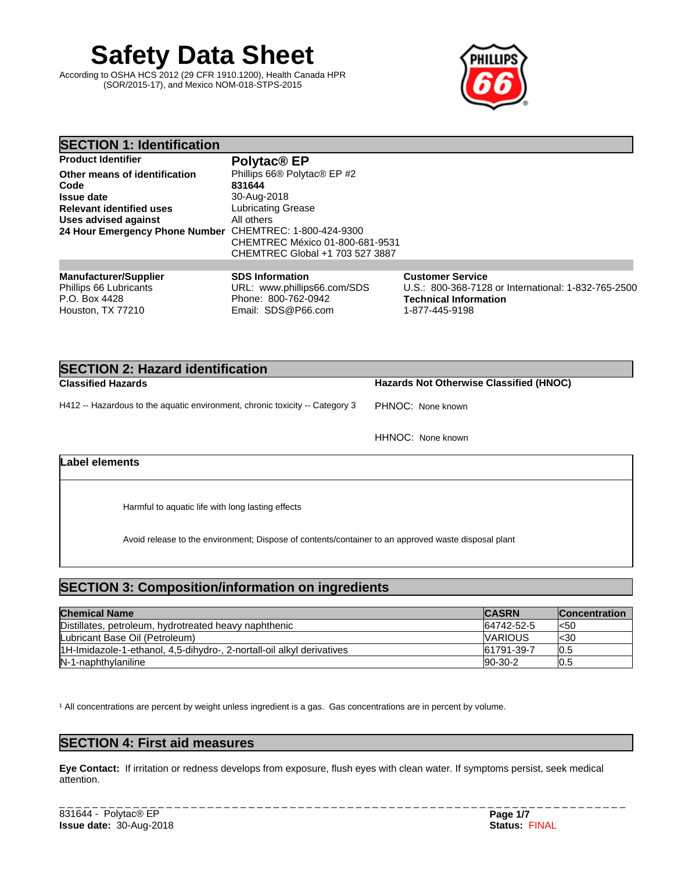# **Safety Data Sheet**

According to OSHA HCS 2012 (29 CFR 1910.1200), Health Canada HPR (SOR/2015-17), and Mexico NOM-018-STPS-2015



1-877-445-9198

| <b>SECTION 1: Identification</b>                                        |                                                                              |                                                                                                         |
|-------------------------------------------------------------------------|------------------------------------------------------------------------------|---------------------------------------------------------------------------------------------------------|
| <b>Product Identifier</b>                                               | Polytac <sup>®</sup> EP                                                      |                                                                                                         |
| Other means of identification                                           | Phillips 66® Polytac® EP #2                                                  |                                                                                                         |
| Code<br><b>Issue date</b>                                               | 831644<br>30-Aug-2018                                                        |                                                                                                         |
| <b>Relevant identified uses</b>                                         | Lubricating Grease                                                           |                                                                                                         |
| Uses advised against                                                    | All others                                                                   |                                                                                                         |
| 24 Hour Emergency Phone Number CHEMTREC: 1-800-424-9300                 | CHEMTREC México 01-800-681-9531<br>CHEMTREC Global +1 703 527 3887           |                                                                                                         |
|                                                                         |                                                                              |                                                                                                         |
| <b>Manufacturer/Supplier</b><br>Phillips 66 Lubricants<br>P.O. Box 4428 | <b>SDS Information</b><br>URL: www.phillips66.com/SDS<br>Phone: 800-762-0942 | <b>Customer Service</b><br>U.S.: 800-368-7128 or International: 1-832-765-2500<br>Technical Information |

| <b>SECTION 2: Hazard identification</b>                                      |                                                |  |  |
|------------------------------------------------------------------------------|------------------------------------------------|--|--|
| <b>Classified Hazards</b>                                                    | <b>Hazards Not Otherwise Classified (HNOC)</b> |  |  |
| H412 -- Hazardous to the aquatic environment, chronic toxicity -- Category 3 | PHNOC: None known                              |  |  |
|                                                                              | HHNOC: None known                              |  |  |

## **Label elements**

Houston, TX 77210

Harmful to aquatic life with long lasting effects

Avoid release to the environment; Dispose of contents/container to an approved waste disposal plant

# **SECTION 3: Composition/information on ingredients**

| <b>Chemical Name</b>                                                  | <b>CASRN</b>   | <b>Concentration</b> |
|-----------------------------------------------------------------------|----------------|----------------------|
| Distillates, petroleum, hydrotreated heavy naphthenic                 | 64742-52-5     | l<50                 |
| Lubricant Base Oil (Petroleum)                                        | <b>VARIOUS</b> | l<30                 |
| 1H-Imidazole-1-ethanol, 4,5-dihydro-, 2-nortall-oil alkyl derivatives | 61791-39-7     | U.5                  |
| IN-1-naphthylaniline                                                  | 90-30-2        | ט.טו                 |

<sup>1</sup> All concentrations are percent by weight unless ingredient is a gas. Gas concentrations are in percent by volume.

Email: SDS@P66.com

# **SECTION 4: First aid measures**

**Eye Contact:** Ifirritation or redness develops from exposure, flush eyes with clean water. If symptoms persist, seek medical attention.

\_ \_ \_ \_ \_ \_ \_ \_ \_ \_ \_ \_ \_ \_ \_ \_ \_ \_ \_ \_ \_ \_ \_ \_ \_ \_ \_ \_ \_ \_ \_ \_ \_ \_ \_ \_ \_ \_ \_ \_ \_ \_ \_ \_ \_ \_ \_ \_ \_ \_ \_ \_ \_ \_ \_ \_ \_ \_ \_ \_ \_ \_ \_ \_ \_ \_ \_ \_ \_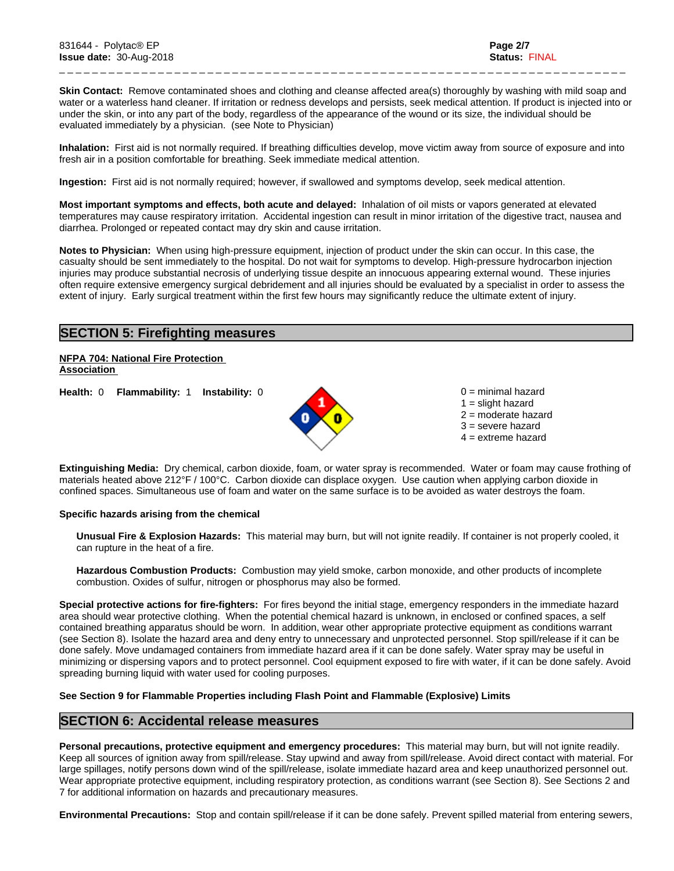**Skin Contact:** Remove contaminated shoes and clothing and cleanse affected area(s) thoroughly by washing with mild soap and water or a waterless hand cleaner. If irritation or redness develops and persists, seek medical attention. If product is injected into or under the skin, or into any part of the body, regardless of the appearance of the wound or its size, the individual should be evaluated immediately by a physician. (see Note to Physician)

\_ \_ \_ \_ \_ \_ \_ \_ \_ \_ \_ \_ \_ \_ \_ \_ \_ \_ \_ \_ \_ \_ \_ \_ \_ \_ \_ \_ \_ \_ \_ \_ \_ \_ \_ \_ \_ \_ \_ \_ \_ \_ \_ \_ \_ \_ \_ \_ \_ \_ \_ \_ \_ \_ \_ \_ \_ \_ \_ \_ \_ \_ \_ \_ \_ \_ \_ \_ \_

**Inhalation:** First aid is not normally required. If breathing difficulties develop, move victim away from source of exposure and into fresh air in a position comfortable for breathing. Seek immediate medical attention.

**Ingestion:** First aid is not normally required; however, if swallowed and symptoms develop, seek medical attention.

**Most important symptoms and effects, both acute and delayed:** Inhalation of oil mists or vapors generated at elevated temperatures may cause respiratory irritation. Accidental ingestion can result in minor irritation of the digestive tract, nausea and diarrhea. Prolonged or repeated contact may dry skin and cause irritation.

**Notes to Physician:** When using high-pressure equipment, injection of product under the skin can occur. In this case, the casualty should be sent immediately to the hospital. Do not wait for symptoms to develop. High-pressure hydrocarbon injection injuries may produce substantial necrosis of underlying tissue despite an innocuous appearing external wound. These injuries often require extensive emergency surgical debridement and all injuries should be evaluated by a specialist in order to assess the extent of injury. Early surgical treatment within the first few hours may significantly reduce the ultimate extent of injury.

# **SECTION 5: Firefighting measures**

#### **NFPA 704: National Fire Protection Association**

**Health:** 0 **Flammability:** 1 **Instability:** 0 0 = minimal hazard



 $1 =$  slight hazard 2 = moderate hazard 3 = severe hazard  $4 =$  extreme hazard

**Extinguishing Media:** Dry chemical, carbon dioxide, foam, or water spray is recommended. Water or foam may cause frothing of materials heated above 212°F / 100°C. Carbon dioxide can displace oxygen. Use caution when applying carbon dioxide in confined spaces. Simultaneous use of foam and water on the same surface is to be avoided as water destroys the foam.

## **Specific hazards arising from the chemical**

**Unusual Fire & Explosion Hazards:** This material may burn, butwill not ignite readily. If container is not properly cooled, it can rupture in the heat of a fire.

**Hazardous Combustion Products:** Combustion may yield smoke, carbon monoxide, and other products of incomplete combustion. Oxides of sulfur, nitrogen or phosphorus may also be formed.

**Special protective actions for fire-fighters:** For fires beyond the initial stage, emergency responders in the immediate hazard area should wear protective clothing. When the potential chemical hazard is unknown, in enclosed or confined spaces, a self contained breathing apparatus should be worn. In addition, wear other appropriate protective equipment as conditions warrant (see Section 8). Isolate the hazard area and deny entry to unnecessary and unprotected personnel. Stop spill/release if it can be done safely. Move undamaged containers from immediate hazard area if it can be done safely. Water spray may be useful in minimizing or dispersing vapors and to protect personnel. Cool equipment exposed to fire with water, if it can be done safely. Avoid spreading burning liquid with water used for cooling purposes.

## **See Section 9 for Flammable Properties including Flash Point and Flammable (Explosive) Limits**

# **SECTION 6: Accidental release measures**

**Personal precautions, protective equipment and emergency procedures:** This material may burn, butwill not ignite readily. Keep all sources of ignition away from spill/release. Stay upwind and away from spill/release. Avoid direct contact with material. For large spillages, notify persons down wind of the spill/release, isolate immediate hazard area and keep unauthorized personnel out. Wear appropriate protective equipment, including respiratory protection, as conditions warrant (see Section 8). See Sections 2 and 7 for additional information on hazards and precautionary measures.

**Environmental Precautions:** Stop and contain spill/release if it can be done safely. Prevent spilled material from entering sewers,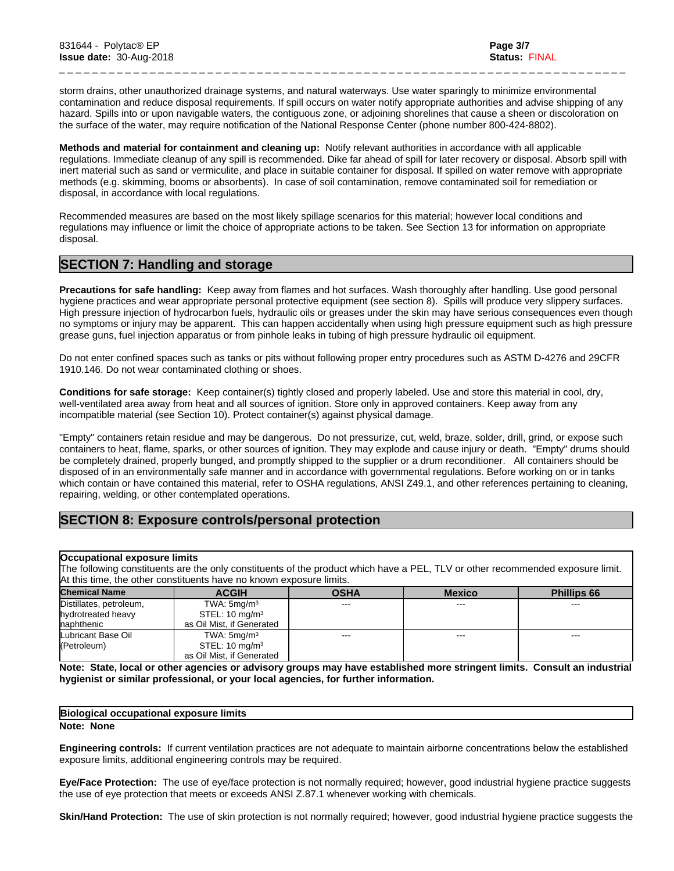storm drains, other unauthorized drainage systems, and natural waterways. Use water sparingly to minimize environmental contamination and reduce disposal requirements. If spill occurs on water notify appropriate authorities and advise shipping of any hazard. Spills into or upon navigable waters, the contiguous zone, or adjoining shorelines that cause a sheen or discoloration on the surface of the water, may require notification of the National Response Center (phone number 800-424-8802).

\_ \_ \_ \_ \_ \_ \_ \_ \_ \_ \_ \_ \_ \_ \_ \_ \_ \_ \_ \_ \_ \_ \_ \_ \_ \_ \_ \_ \_ \_ \_ \_ \_ \_ \_ \_ \_ \_ \_ \_ \_ \_ \_ \_ \_ \_ \_ \_ \_ \_ \_ \_ \_ \_ \_ \_ \_ \_ \_ \_ \_ \_ \_ \_ \_ \_ \_ \_ \_

**Methods and material for containment and cleaning up:** Notify relevant authorities in accordance with all applicable regulations. Immediate cleanup of any spill is recommended. Dike far ahead of spill for later recovery or disposal. Absorb spill with inert material such as sand or vermiculite, and place in suitable container for disposal. If spilled on water remove with appropriate methods (e.g. skimming, booms or absorbents). In case of soil contamination, remove contaminated soil for remediation or disposal, in accordance with local regulations.

Recommended measures are based on the most likely spillage scenarios for this material; however local conditions and regulations may influence or limit the choice of appropriate actions to be taken. See Section 13 for information on appropriate disposal.

# **SECTION 7: Handling and storage**

**Precautions for safe handling:** Keep away from flames and hot surfaces. Wash thoroughly after handling. Use good personal hygiene practices and wear appropriate personal protective equipment (see section 8). Spills will produce very slippery surfaces. High pressure injection of hydrocarbon fuels, hydraulic oils or greases under the skin may have serious consequences even though no symptoms or injury may be apparent. This can happen accidentally when using high pressure equipment such as high pressure grease guns, fuel injection apparatus or from pinhole leaks in tubing of high pressure hydraulic oil equipment.

Do not enter confined spaces such as tanks or pits without following proper entry procedures such as ASTM D-4276 and 29CFR 1910.146. Do not wear contaminated clothing or shoes.

**Conditions for safe storage:**Keep container(s) tightly closed and properly labeled. Use and store this material in cool, dry, well-ventilated area away from heat and all sources of ignition. Store only in approved containers. Keep away from any incompatible material (see Section 10). Protect container(s) against physical damage.

"Empty" containers retain residue and may be dangerous. Do not pressurize, cut, weld, braze, solder, drill, grind, or expose such containers to heat, flame, sparks, or other sources of ignition. They may explode and cause injury or death."Empty" drums should be completely drained, properly bunged, and promptly shipped to the supplier or a drum reconditioner. All containers should be disposed of in an environmentally safe manner and in accordance with governmentalregulations. Before working on or in tanks which contain or have contained this material, refer to OSHA regulations, ANSI Z49.1, and other references pertaining to cleaning, repairing, welding, or other contemplated operations.

# **SECTION 8: Exposure controls/personal protection**

## **Occupational exposure limits**

The following constituents are the only constituents of the product which have a PEL, TLV or other recommended exposure limit. At this time, the other constituents have no known exposure limits.

| <b>Chemical Name</b>    | <b>ACGIH</b>              | <b>OSHA</b>       | <b>Mexico</b>              | <b>Phillips 66</b>     |
|-------------------------|---------------------------|-------------------|----------------------------|------------------------|
| Distillates, petroleum, | TWA: 5mq/m <sup>3</sup>   | $\qquad \qquad -$ | $\qquad \qquad - \qquad -$ | $\qquad \qquad \cdots$ |
| hydrotreated heavy      | STEL: $10 \text{ mg/m}^3$ |                   |                            |                        |
| naphthenic              | as Oil Mist, if Generated |                   |                            |                        |
| Lubricant Base Oil      | TWA: $5mq/m3$             | $- - -$           | $- - -$                    | $- - -$                |
| (Petroleum)             | STEL: $10 \text{ mg/m}^3$ |                   |                            |                        |
|                         | as Oil Mist, if Generated |                   |                            |                        |

Note: State, local or other agencies or advisory groups may have established more stringent limits. Consult an industrial **hygienist or similar professional, or your local agencies, for further information.**

# **Biological occupational exposure limits**

#### **Note: None**

**Engineering controls:** Ifcurrent ventilation practices are not adequate to maintain airborne concentrations below the established exposure limits, additional engineering controls may be required.

**Eye/Face Protection:** The use of eye/face protection is not normally required; however, good industrial hygiene practice suggests the use of eye protection that meets or exceeds ANSI Z.87.1 whenever working with chemicals.

**Skin/Hand Protection:** The use of skin protection is not normally required; however, good industrial hygiene practice suggests the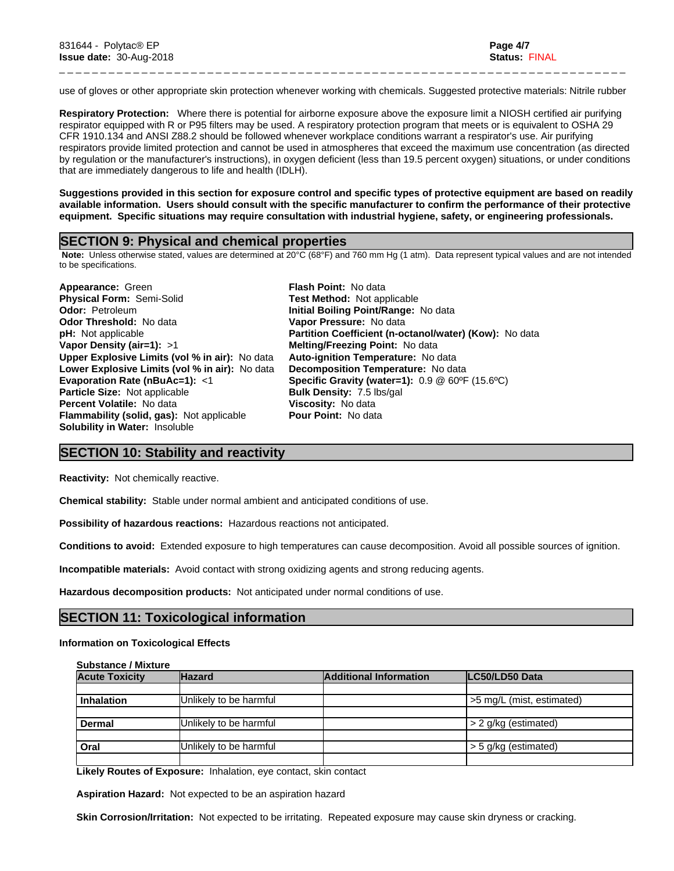use of gloves or other appropriate skin protection whenever working with chemicals. Suggested protective materials: Nitrile rubber

\_ \_ \_ \_ \_ \_ \_ \_ \_ \_ \_ \_ \_ \_ \_ \_ \_ \_ \_ \_ \_ \_ \_ \_ \_ \_ \_ \_ \_ \_ \_ \_ \_ \_ \_ \_ \_ \_ \_ \_ \_ \_ \_ \_ \_ \_ \_ \_ \_ \_ \_ \_ \_ \_ \_ \_ \_ \_ \_ \_ \_ \_ \_ \_ \_ \_ \_ \_ \_

**Respiratory Protection:** Where there is potential for airborne exposure above the exposure limit a NIOSH certified air purifying respirator equipped with R or P95 filters may be used. A respiratory protection program that meets or is equivalent to OSHA 29 CFR 1910.134 and ANSI Z88.2 should be followed whenever workplace conditions warrant a respirator's use. Air purifying respirators provide limited protection and cannot be used in atmospheres that exceed the maximum use concentration (as directed by regulation or the manufacturer's instructions), in oxygen deficient (less than 19.5 percent oxygen) situations, or under conditions that are immediately dangerous to life and health (IDLH).

Suggestions provided in this section for exposure control and specific types of protective equipment are based on readily available information. Users should consult with the specific manufacturer to confirm the performance of their protective **equipment. Specific situations may require consultation with industrial hygiene, safety, or engineering professionals.**

## **SECTION 9: Physical and chemical properties**

 **Note:** Unless otherwise stated, values are determined at 20°C (68°F) and 760 mm Hg (1 atm). Data represent typical values and are not intended to be specifications.

**Appearance:** Green **Flash Point:** No data **Physical Form:** Semi-Solid **Test Method:** Not applicable **Odor:** Petroleum **Initial Boiling Point/Range:** No data **Odor Threshold:** No data **Vapor Pressure:** No data **Vapor Density (air=1):** >1 **Melting/Freezing Point:** No data **Upper Explosive Limits (vol% in air):** No data **Auto-ignition Temperature:** No data **Lower Explosive Limits (vol% in air):** No data **Decomposition Temperature:** No data **Particle Size:** Not applicable **Bulk Density:** 7.5 lbs/gal **Percent Volatile:** No data **Viscosity:** No data **Flammability (solid, gas):** Not applicable **Pour Point:** No data **Solubility in Water:** Insoluble

**pH:** Not applicable **Partition Coefficient (n-octanol/water) (Kow):** No data **Evaporation Rate (nBuAc=1):** <1 **Specific Gravity (water=1):** 0.9 @ 60ºF (15.6ºC)

## **SECTION 10: Stability and reactivity**

**Reactivity:** Not chemically reactive.

**Chemical stability:** Stable under normal ambient and anticipated conditions of use.

**Possibility of hazardous reactions:** Hazardous reactions not anticipated.

**Conditions to avoid:** Extended exposure to high temperatures can cause decomposition. Avoid all possible sources of ignition.

**Incompatible materials:** Avoid contact with strong oxidizing agents and strong reducing agents.

**Hazardous decomposition products:** Not anticipated under normal conditions of use.

## **SECTION 11: Toxicological information**

#### **Information on Toxicological Effects**

**Substance / Mixture**

| <b>Acute Toxicity</b> | <b>Hazard</b>          | <b>Additional Information</b> | LC50/LD50 Data            |
|-----------------------|------------------------|-------------------------------|---------------------------|
|                       |                        |                               |                           |
| <b>Inhalation</b>     | Unlikely to be harmful |                               | >5 mg/L (mist, estimated) |
|                       |                        |                               |                           |
| Dermal                | Unlikely to be harmful |                               | > 2 g/kg (estimated)      |
|                       |                        |                               |                           |
| Oral                  | Unlikely to be harmful |                               | > 5 g/kg (estimated)      |
|                       |                        |                               |                           |

**Likely Routes of Exposure:** Inhalation, eye contact, skin contact

**Aspiration Hazard:** Not expected to be an aspiration hazard

**Skin Corrosion/Irritation:** Not expected to be irritating. Repeated exposure may cause skin dryness or cracking.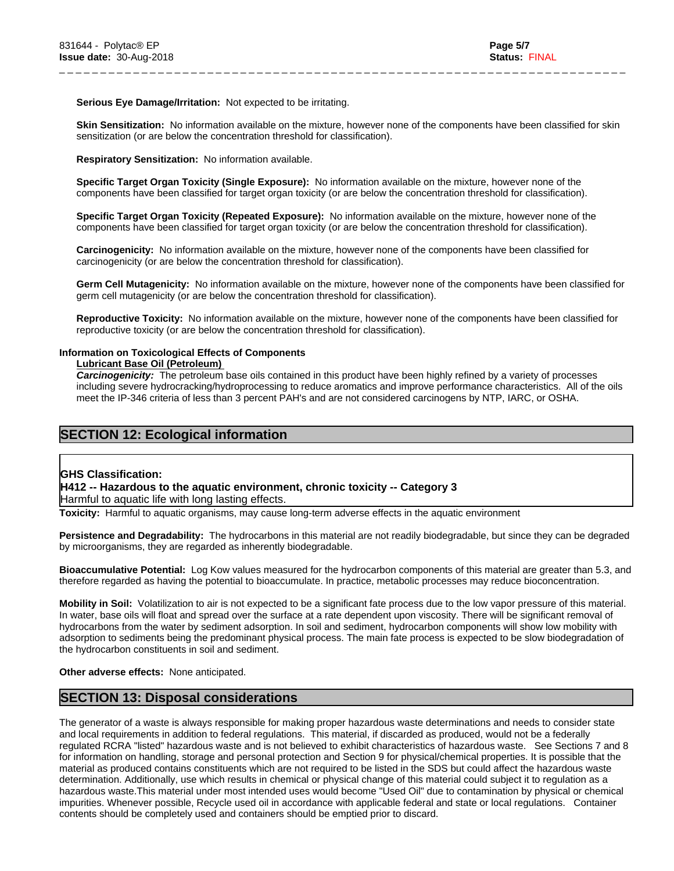#### **Serious Eye Damage/Irritation:** Not expected to be irritating.

**Skin Sensitization:** No information available on the mixture, however none of the components have been classified for skin sensitization (or are below the concentration threshold for classification).

\_ \_ \_ \_ \_ \_ \_ \_ \_ \_ \_ \_ \_ \_ \_ \_ \_ \_ \_ \_ \_ \_ \_ \_ \_ \_ \_ \_ \_ \_ \_ \_ \_ \_ \_ \_ \_ \_ \_ \_ \_ \_ \_ \_ \_ \_ \_ \_ \_ \_ \_ \_ \_ \_ \_ \_ \_ \_ \_ \_ \_ \_ \_ \_ \_ \_ \_ \_ \_

**Respiratory Sensitization:** No information available.

**Specific Target Organ Toxicity (Single Exposure):** No information available on the mixture, however none of the components have been classified for target organ toxicity (or are below the concentration threshold for classification).

**Specific Target Organ Toxicity (Repeated Exposure):** No information available on the mixture, however none of the components have been classified for target organ toxicity (or are below the concentration threshold for classification).

**Carcinogenicity:** No information available on the mixture, however none of the components have been classified for carcinogenicity (or are below the concentration threshold for classification).

**Germ Cell Mutagenicity:** No information available on the mixture, however none of the components have been classified for germ cell mutagenicity (or are below the concentration threshold for classification).

**Reproductive Toxicity:** No information available on the mixture, however none of the components have been classified for reproductive toxicity (or are below the concentration threshold for classification).

#### **Information on Toxicological Effects of Components**

#### **Lubricant Base Oil (Petroleum)**

*Carcinogenicity:* The petroleum base oils contained in this product have been highly refined by a variety of processes including severe hydrocracking/hydroprocessing to reduce aromatics and improve performance characteristics. All of the oils meet the IP-346 criteria of less than 3 percent PAH's and are not considered carcinogens by NTP, IARC, or OSHA.

# **SECTION 12: Ecological information**

## **GHS Classification:**

**H412 -- Hazardous to the aquatic environment, chronic toxicity -- Category 3**

Harmful to aquatic life with long lasting effects.

**Toxicity:** Harmful to aquatic organisms, may cause long-term adverse effects in the aquatic environment

**Persistence and Degradability:** The hydrocarbons in this material are not readily biodegradable, but since they can be degraded by microorganisms, they are regarded as inherently biodegradable.

**Bioaccumulative Potential:** Log Kow values measured for the hydrocarbon components of this material are greater than 5.3, and therefore regarded as having the potential to bioaccumulate. In practice, metabolic processes may reduce bioconcentration.

**Mobility in Soil:** Volatilization to air is not expected to be a significant fate process due to the low vapor pressure of this material. In water, base oils will float and spread over the surface at a rate dependent upon viscosity. There will be significant removal of hydrocarbons from the water by sediment adsorption. In soil and sediment, hydrocarbon components will show low mobility with adsorption to sediments being the predominant physical process. The main fate process is expected to be slow biodegradation of the hydrocarbon constituents in soil and sediment.

**Other adverse effects:** None anticipated.

## **SECTION 13: Disposal considerations**

The generator of a waste is always responsible for making proper hazardous waste determinations and needs to consider state and local requirements in addition to federal regulations. This material, if discarded as produced, would not be a federally regulated RCRA "listed" hazardous waste and is not believed to exhibit characteristics of hazardous waste. See Sections 7 and 8 for information on handling, storage and personal protection and Section 9 for physical/chemical properties. It is possible that the material as produced contains constituents which are not required to be listed in the SDS but could affect the hazardous waste determination. Additionally, use which results in chemical or physical change of this material could subject it to regulation as a hazardous waste.This material under most intended uses would become "Used Oil" due to contamination by physical or chemical impurities. Whenever possible, Recycle used oil in accordance with applicable federal and state or local regulations. Container contents should be completely used and containers should be emptied prior to discard.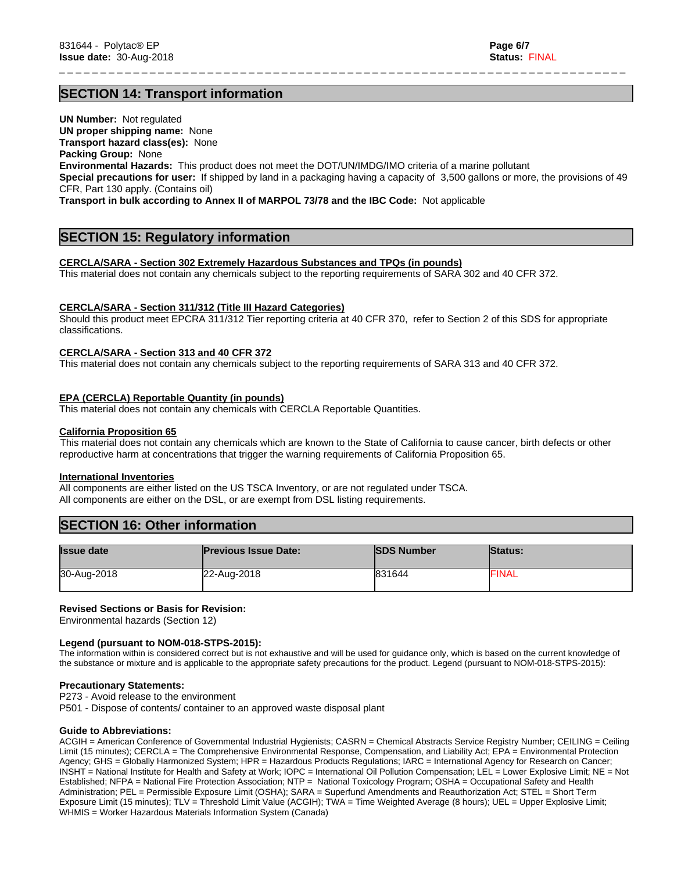# **SECTION 14: Transport information**

**UN Number:** Not regulated **UN proper shipping name:** None **Transport hazard class(es):** None **Packing Group:** None **Environmental Hazards:** This product does not meet the DOT/UN/IMDG/IMO criteria of a marine pollutant **Special precautions for user:** If shipped by land in a packaging having a capacity of 3,500 gallons or more, the provisions of 49 CFR, Part 130 apply. (Contains oil)

\_ \_ \_ \_ \_ \_ \_ \_ \_ \_ \_ \_ \_ \_ \_ \_ \_ \_ \_ \_ \_ \_ \_ \_ \_ \_ \_ \_ \_ \_ \_ \_ \_ \_ \_ \_ \_ \_ \_ \_ \_ \_ \_ \_ \_ \_ \_ \_ \_ \_ \_ \_ \_ \_ \_ \_ \_ \_ \_ \_ \_ \_ \_ \_ \_ \_ \_ \_ \_

**Transport in bulk according to Annex II of MARPOL 73/78 and the IBC Code:** Not applicable

# **SECTION 15: Regulatory information**

## **CERCLA/SARA - Section 302 Extremely Hazardous Substances and TPQs (in pounds)**

This material does not contain any chemicals subject to the reporting requirements of SARA 302 and 40 CFR 372.

#### **CERCLA/SARA - Section 311/312 (Title III Hazard Categories)**

Should this product meet EPCRA 311/312 Tier reporting criteria at 40 CFR 370, refer to Section 2 of this SDS for appropriate classifications.

#### **CERCLA/SARA - Section 313 and 40 CFR 372**

This material does not contain any chemicals subject to the reporting requirements of SARA 313 and 40 CFR 372.

#### **EPA (CERCLA) Reportable Quantity (in pounds)**

This material does not contain any chemicals with CERCLA Reportable Quantities.

#### **California Proposition 65**

This material does not contain any chemicals which are known to the State of California to cause cancer, birth defects or other reproductive harm at concentrations that trigger the warning requirements of California Proposition 65.

#### **International Inventories**

All components are either listed on the US TSCA Inventory, or are not regulated under TSCA. All components are either on the DSL, or are exempt from DSL listing requirements.

# **SECTION 16: Other information**

| <b>Issue date</b> | <b>Previous Issue Date:</b> | <b>SDS Number</b> | <b>Status:</b> |
|-------------------|-----------------------------|-------------------|----------------|
| 30-Aug-2018       | 22-Aug-2018                 | 831644            | <b>FINAL</b>   |

## **Revised Sections or Basis for Revision:**

Environmental hazards (Section 12)

#### **Legend (pursuant to NOM-018-STPS-2015):**

The information within is considered correct but is not exhaustive and will be used for guidance only, which is based on the current knowledge of the substance or mixture and is applicable to the appropriate safety precautions for the product. Legend (pursuant to NOM-018-STPS-2015):

#### **Precautionary Statements:**

P273 - Avoid release to the environment

P501 - Dispose of contents/ container to an approved waste disposal plant

#### **Guide to Abbreviations:**

ACGIH = American Conference of Governmental Industrial Hygienists; CASRN = Chemical Abstracts Service Registry Number; CEILING = Ceiling Limit (15 minutes); CERCLA = The Comprehensive Environmental Response, Compensation, and Liability Act; EPA = Environmental Protection Agency; GHS = Globally Harmonized System; HPR = Hazardous Products Regulations; IARC = International Agency for Research on Cancer; INSHT = National Institute for Health and Safety at Work; IOPC = International Oil Pollution Compensation; LEL = Lower Explosive Limit; NE = Not Established; NFPA = National Fire Protection Association; NTP = National Toxicology Program; OSHA = Occupational Safety and Health Administration; PEL = Permissible Exposure Limit (OSHA); SARA = Superfund Amendments and Reauthorization Act; STEL = Short Term Exposure Limit (15 minutes); TLV = Threshold Limit Value (ACGIH); TWA = Time Weighted Average (8 hours); UEL = Upper Explosive Limit; WHMIS = Worker Hazardous Materials Information System (Canada)